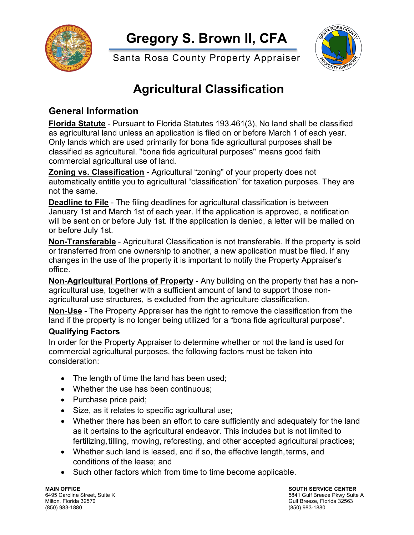

**Gregory S. Brown II, CFA**

Santa Rosa County Property Appraiser

# **Agricultural Classification**

# **General Information**

**Florida Statute** - Pursuant to Florida Statutes 193.461(3), No land shall be classified as agricultural land unless an application is filed on or before March 1 of each year. Only lands which are used primarily for bona fide agricultural purposes shall be classified as agricultural. "bona fide agricultural purposes" means good faith commercial agricultural use of land.

**Zoning vs. Classification** - Agricultural "zoning" of your property does not automatically entitle you to agricultural "classification" for taxation purposes. They are not the same.

**Deadline to File** - The filing deadlines for agricultural classification is between January 1st and March 1st of each year. If the application is approved, a notification will be sent on or before July 1st. If the application is denied, a letter will be mailed on or before July 1st.

**Non-Transferable** - Agricultural Classification is not transferable. If the property is sold or transferred from one ownership to another, a new application must be filed. If any changes in the use of the property it is important to notify the Property Appraiser's office.

**Non-Agricultural Portions of Property** - Any building on the property that has a nonagricultural use, together with a sufficient amount of land to support those nonagricultural use structures, is excluded from the agriculture classification.

**Non-Use** - The Property Appraiser has the right to remove the classification from the land if the property is no longer being utilized for a "bona fide agricultural purpose".

## **Qualifying Factors**

In order for the Property Appraiser to determine whether or not the land is used for commercial agricultural purposes, the following factors must be taken into consideration:

- The length of time the land has been used;
- Whether the use has been continuous;
- Purchase price paid;
- Size, as it relates to specific agricultural use;
- Whether there has been an effort to care sufficiently and adequately for the land as it pertains to the agricultural endeavor. This includes but is not limited to fertilizing, tilling, mowing, reforesting, and other accepted agricultural practices;
- Whether such land is leased, and if so, the effective length, terms, and conditions of the lease; and
- Such other factors which from time to time become applicable.

**MAIN OFFICE SOUTH SERVICE CENTER** (850) 983-1880 (850) 983-1880

6495 Caroline Street, Suite K 5841 Gulf Breeze Pkwy Suite A 5841 Gulf Breeze Pkwy Suite A 5841 Gulf Breeze. Florida<br>Milton, Florida 32570 Gulf Breeze, Florida 32563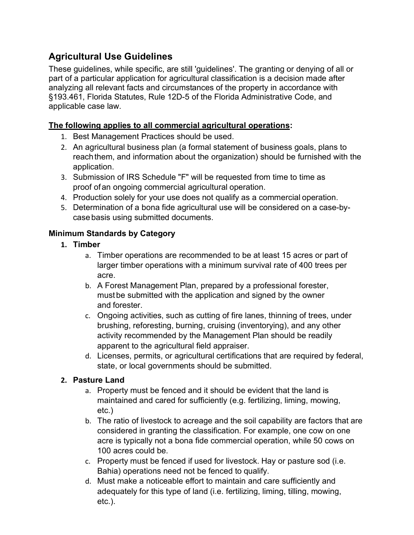# **Agricultural Use Guidelines**

These guidelines, while specific, are still 'guidelines'. The granting or denying of all or part of a particular application for agricultural classification is a decision made after analyzing all relevant facts and circumstances of the property in accordance with §193.461, Florida Statutes, Rule 12D-5 of the Florida Administrative Code, and applicable case law.

#### **The following applies to all commercial agricultural operations:**

- 1. Best Management Practices should be used.
- 2. An agricultural business plan (a formal statement of business goals, plans to reachthem, and information about the organization) should be furnished with the application.
- 3. Submission of IRS Schedule "F" will be requested from time to time as proof ofan ongoing commercial agricultural operation.
- 4. Production solely for your use does not qualify as a commercial operation.
- 5. Determination of a bona fide agricultural use will be considered on a case-bycase basis using submitted documents.

#### **Minimum Standards by Category**

- **1. Timber**
	- a. Timber operations are recommended to be at least 15 acres or part of larger timber operations with a minimum survival rate of 400 trees per acre.
	- b. A Forest Management Plan, prepared by a professional forester, must be submitted with the application and signed by the owner and forester.
	- c. Ongoing activities, such as cutting of fire lanes, thinning of trees, under brushing, reforesting, burning, cruising (inventorying), and any other activity recommended by the Management Plan should be readily apparent to the agricultural field appraiser.
	- d. Licenses, permits, or agricultural certifications that are required by federal, state, or local governments should be submitted.

#### **2. Pasture Land**

- a. Property must be fenced and it should be evident that the land is maintained and cared for sufficiently (e.g. fertilizing, liming, mowing, etc.)
- b. The ratio of livestock to acreage and the soil capability are factors that are considered in granting the classification. For example, one cow on one acre is typically not a bona fide commercial operation, while 50 cows on 100 acres could be.
- c. Property must be fenced if used for livestock. Hay or pasture sod (i.e. Bahia) operations need not be fenced to qualify.
- d. Must make a noticeable effort to maintain and care sufficiently and adequately for this type of land (i.e. fertilizing, liming, tilling, mowing, etc.).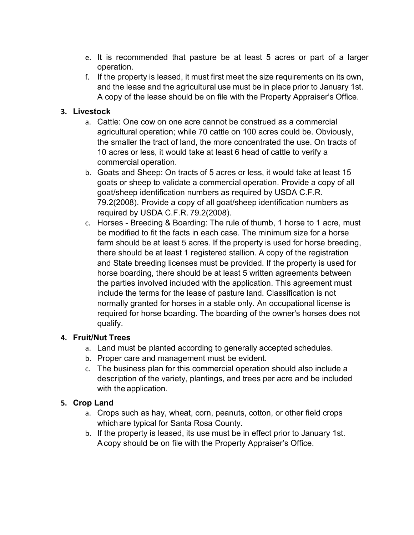- e. It is recommended that pasture be at least 5 acres or part of a larger operation.
- f. If the property is leased, it must first meet the size requirements on its own, and the lease and the agricultural use must be in place prior to January 1st. A copy of the lease should be on file with the Property Appraiser's Office.

#### **3. Livestock**

- a. Cattle: One cow on one acre cannot be construed as a commercial agricultural operation; while 70 cattle on 100 acres could be. Obviously, the smaller the tract of land, the more concentrated the use. On tracts of 10 acres or less, it would take at least 6 head of cattle to verify a commercial operation.
- b. Goats and Sheep: On tracts of 5 acres or less, it would take at least 15 goats or sheep to validate a commercial operation. Provide a copy of all goat/sheep identification numbers as required by USDA C.F.R. 79.2(2008). Provide a copy of all goat/sheep identification numbers as required by USDA C.F.R. 79.2(2008).
- c. Horses Breeding & Boarding: The rule of thumb, 1 horse to 1 acre, must be modified to fit the facts in each case. The minimum size for a horse farm should be at least 5 acres. If the property is used for horse breeding, there should be at least 1 registered stallion. A copy of the registration and State breeding licenses must be provided. If the property is used for horse boarding, there should be at least 5 written agreements between the parties involved included with the application. This agreement must include the terms for the lease of pasture land. Classification is not normally granted for horses in a stable only. An occupational license is required for horse boarding. The boarding of the owner's horses does not qualify.

## **4. Fruit/Nut Trees**

- a. Land must be planted according to generally accepted schedules.
- b. Proper care and management must be evident.
- c. The business plan for this commercial operation should also include a description of the variety, plantings, and trees per acre and be included with the application.

## **5. Crop Land**

- a. Crops such as hay, wheat, corn, peanuts, cotton, or other field crops which are typical for Santa Rosa County.
- b. If the property is leased, its use must be in effect prior to January 1st. Acopy should be on file with the Property Appraiser's Office.